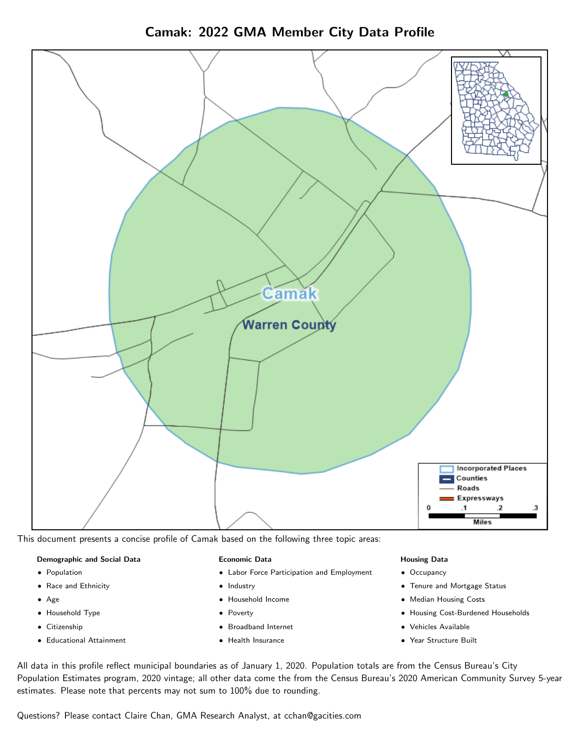

Camak: 2022 GMA Member City Data Profile

This document presents a concise profile of Camak based on the following three topic areas:

## Demographic and Social Data

- **•** Population
- Race and Ethnicity
- Age
- Household Type
- **Citizenship**
- Educational Attainment

## Economic Data

- Labor Force Participation and Employment
- Industry
- Household Income
- Poverty
- Broadband Internet
- Health Insurance

## Housing Data

- Occupancy
- Tenure and Mortgage Status
- Median Housing Costs
- Housing Cost-Burdened Households
- Vehicles Available
- Year Structure Built

All data in this profile reflect municipal boundaries as of January 1, 2020. Population totals are from the Census Bureau's City Population Estimates program, 2020 vintage; all other data come the from the Census Bureau's 2020 American Community Survey 5-year estimates. Please note that percents may not sum to 100% due to rounding.

Questions? Please contact Claire Chan, GMA Research Analyst, at [cchan@gacities.com.](mailto:cchan@gacities.com)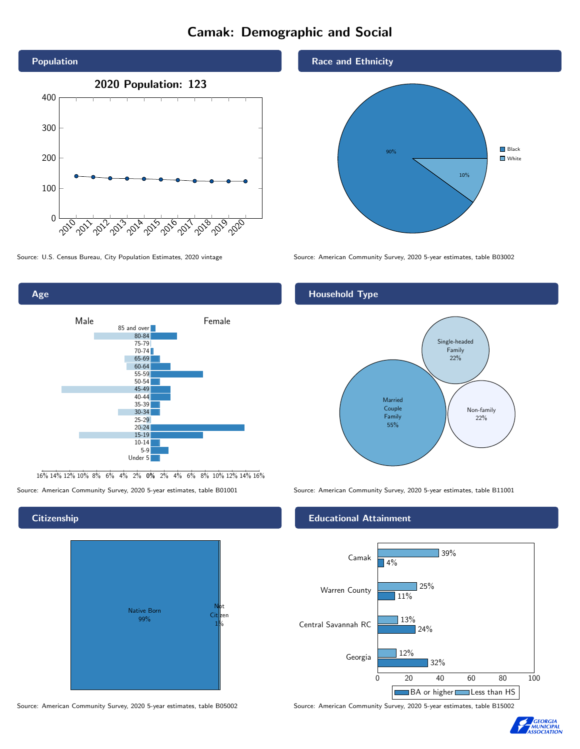## Camak: Demographic and Social





16% 14% 12% 10% 8% 6% 4% 2% 0% 2% 4% 6% 8% 10% 12% 14% 16%

Source: American Community Survey, 2020 5-year estimates, table B01001 Source: American Community Survey, 2020 5-year estimates, table B11001

## **Citizenship**



Source: American Community Survey, 2020 5-year estimates, table B05002 Source: American Community Survey, 2020 5-year estimates, table B15002

## Race and Ethnicity



Source: U.S. Census Bureau, City Population Estimates, 2020 vintage Source: American Community Survey, 2020 5-year estimates, table B03002

## Household Type



## Educational Attainment



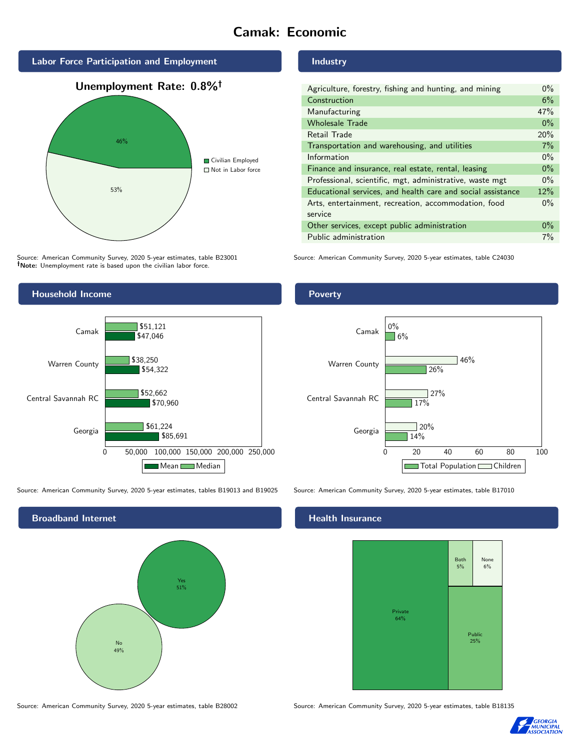# Camak: Economic



Source: American Community Survey, 2020 5-year estimates, table B23001 Note: Unemployment rate is based upon the civilian labor force.



Source: American Community Survey, 2020 5-year estimates, tables B19013 and B19025 Source: American Community Survey, 2020 5-year estimates, table B17010

Broadband Internet No 49% Yes 51%

Industry

| Agriculture, forestry, fishing and hunting, and mining      | $0\%$ |
|-------------------------------------------------------------|-------|
| Construction                                                | 6%    |
| Manufacturing                                               | 47%   |
| <b>Wholesale Trade</b>                                      | $0\%$ |
| Retail Trade                                                | 20%   |
| Transportation and warehousing, and utilities               | 7%    |
| Information                                                 | $0\%$ |
| Finance and insurance, real estate, rental, leasing         | $0\%$ |
| Professional, scientific, mgt, administrative, waste mgt    | $0\%$ |
| Educational services, and health care and social assistance | 12%   |
| Arts, entertainment, recreation, accommodation, food        | $0\%$ |
| service                                                     |       |
| Other services, except public administration                | $0\%$ |
| Public administration                                       | $7\%$ |

Source: American Community Survey, 2020 5-year estimates, table C24030

## Poverty



#### Health Insurance



Source: American Community Survey, 2020 5-year estimates, table B28002 Source: American Community Survey, 2020 5-year estimates, table B18135